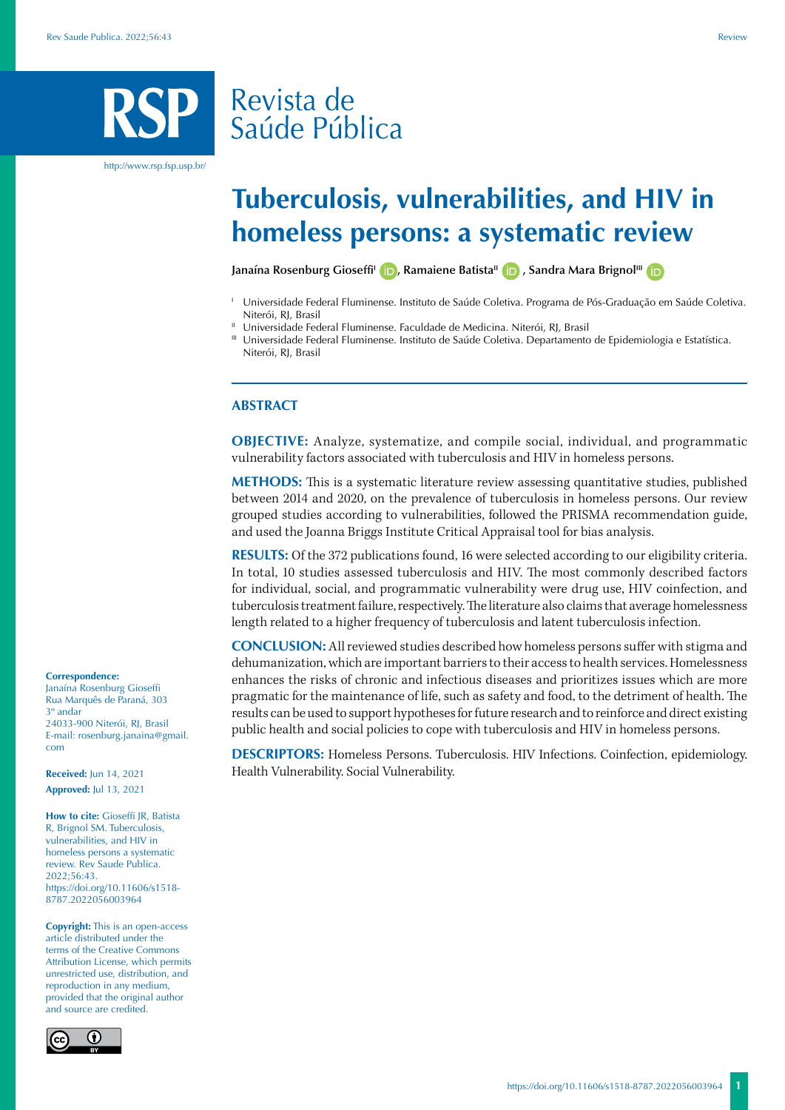## Revista de Saúde Pública

http://www.rsp.fsp.usp.br/

# **Tuberculosis, vulnerabilities, and HIV in homeless persons: a systematic review**

**JanaínaRosenburg Gioseffi<sup>1</sup> <b>(b)**[,](https://orcid.org/0000-0002-5776-9510) Ramaiene Batista<sup>ll</sup> **(b)**, Sandra Mara Brignol<sup>III</sup> **(b)** 

- <sup>1</sup> Universidade Federal Fluminense. Instituto de Saúde Coletiva. Programa de Pós-Graduação em Saúde Coletiva. Niterói, RJ, Brasil
- <sup>II</sup> Universidade Federal Fluminense. Faculdade de Medicina. Niterói, RJ, Brasil
- III Universidade Federal Fluminense. Instituto de Saúde Coletiva. Departamento de Epidemiologia e Estatística. Niterói, RJ, Brasil

#### **ABSTRACT**

**OBJECTIVE:** Analyze, systematize, and compile social, individual, and programmatic vulnerability factors associated with tuberculosis and HIV in homeless persons.

**METHODS:** This is a systematic literature review assessing quantitative studies, published between 2014 and 2020, on the prevalence of tuberculosis in homeless persons. Our review grouped studies according to vulnerabilities, followed the PRISMA recommendation guide, and used the Joanna Briggs Institute Critical Appraisal tool for bias analysis.

**RESULTS:** Of the 372 publications found, 16 were selected according to our eligibility criteria. In total, 10 studies assessed tuberculosis and HIV. The most commonly described factors for individual, social, and programmatic vulnerability were drug use, HIV coinfection, and tuberculosis treatment failure, respectively. The literature also claims that average homelessness length related to a higher frequency of tuberculosis and latent tuberculosis infection.

**CONCLUSION:** All reviewed studies described how homeless persons suffer with stigma and dehumanization, which are important barriers to their access to health services. Homelessness enhances the risks of chronic and infectious diseases and prioritizes issues which are more pragmatic for the maintenance of life, such as safety and food, to the detriment of health. The results can be used to support hypotheses for future research and to reinforce and direct existing public health and social policies to cope with tuberculosis and HIV in homeless persons.

**DESCRIPTORS:** Homeless Persons. Tuberculosis. HIV Infections. Coinfection, epidemiology. Health Vulnerability. Social Vulnerability.

#### **Correspondence:**

Janaína Rosenburg Gioseffi Rua Marquês de Paraná, 303 3º andar 24033-900 Niterói, RL Brasil E-mail: rosenburg.janaina@gmail. com

**Received:** Jun 14, 2021 **Approved:** Jul 13, 2021

**How to cite:** Gioseffi JR, Batista R, Brignol SM. Tuberculosis, vulnerabilities, and HIV in homeless persons a systematic review. Rev Saude Publica. 2022;56:43. https://doi.org/10.11606/s1518- 8787.2022056003964

**Copyright:** This is an open-access article distributed under the terms of the Creative Commons Attribution License, which permits unrestricted use, distribution, and reproduction in any medium, provided that the original author and source are credited.

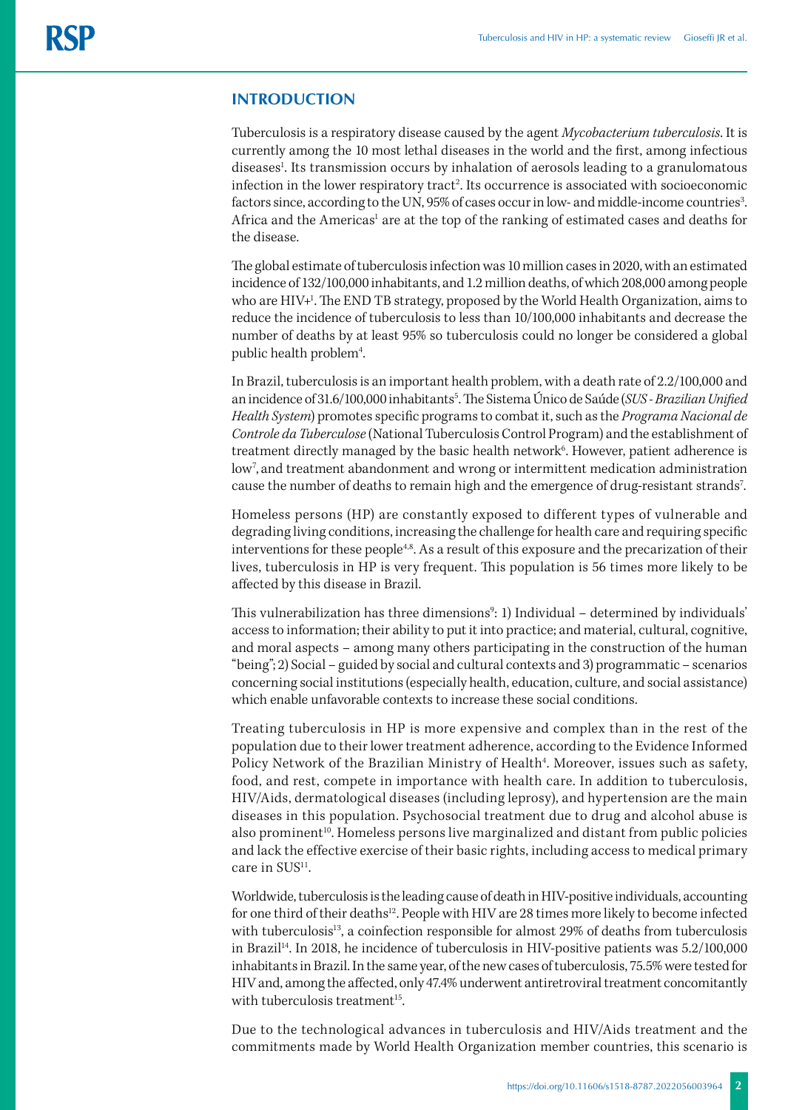### **INTRODUCTION**

Tuberculosis is a respiratory disease caused by the agent *Mycobacterium tuberculosis*. It is currently among the 10 most lethal diseases in the world and the first, among infectious diseases<sup>1</sup>. Its transmission occurs by inhalation of aerosols leading to a granulomatous infection in the lower respiratory tract<sup>2</sup>. Its occurrence is associated with socioeconomic factors since, according to the UN, 95% of cases occur in low- and middle-income countries<sup>3</sup>. Africa and the Americas<sup>1</sup> are at the top of the ranking of estimated cases and deaths for the disease.

The global estimate of tuberculosis infection was 10 million cases in 2020, with an estimated incidence of 132/100,000 inhabitants, and 1.2 million deaths, of which 208,000 among people who are HIV+<sup>1</sup>. The END TB strategy, proposed by the World Health Organization, aims to reduce the incidence of tuberculosis to less than 10/100,000 inhabitants and decrease the number of deaths by at least 95% so tuberculosis could no longer be considered a global public health problem<sup>4</sup>. .

In Brazil, tuberculosis is an important health problem, with a death rate of 2.2/100,000 and an incidence of 31.6/100,000 inhabitants<sup>5</sup>. The Sistema Único de Saúde (*SUS - Brazilian Unified Health System*) promotes specific programs to combat it, such as the *Programa Nacional de Controle da Tuberculose* (National Tuberculosis Control Program) and the establishment of treatment directly managed by the basic health network<sup>6</sup>. However, patient adherence is low7 , and treatment abandonment and wrong or intermittent medication administration cause the number of deaths to remain high and the emergence of drug-resistant strands<sup>7</sup>. .

Homeless persons (HP) are constantly exposed to different types of vulnerable and degrading living conditions, increasing the challenge for health care and requiring specific interventions for these people<sup>4,8</sup>. As a result of this exposure and the precarization of their lives, tuberculosis in HP is very frequent. This population is 56 times more likely to be affected by this disease in Brazil.

This vulnerabilization has three dimensions<sup>9</sup>: 1) Individual – determined by individuals' access to information; their ability to put it into practice; and material, cultural, cognitive, and moral aspects – among many others participating in the construction of the human "being"; 2) Social – guided by social and cultural contexts and 3) programmatic – scenarios concerning social institutions (especially health, education, culture, and social assistance) which enable unfavorable contexts to increase these social conditions.

Treating tuberculosis in HP is more expensive and complex than in the rest of the population due to their lower treatment adherence, according to the Evidence Informed Policy Network of the Brazilian Ministry of Health<sup>4</sup>. Moreover, issues such as safety, food, and rest, compete in importance with health care. In addition to tuberculosis, HIV/Aids, dermatological diseases (including leprosy), and hypertension are the main diseases in this population. Psychosocial treatment due to drug and alcohol abuse is also prominent<sup>10</sup>. Homeless persons live marginalized and distant from public policies and lack the effective exercise of their basic rights, including access to medical primary care in SUS<sup>11</sup>.

Worldwide, tuberculosis is the leading cause of death in HIV-positive individuals, accounting for one third of their deaths<sup>12</sup>. People with HIV are 28 times more likely to become infected with tuberculosis<sup>13</sup>, a coinfection responsible for almost 29% of deaths from tuberculosis in Brazil14. In 2018, he incidence of tuberculosis in HIV-positive patients was 5.2/100,000 inhabitants in Brazil. In the same year, of the new cases of tuberculosis, 75.5% were tested for HIV and, among the affected, only 47.4% underwent antiretroviral treatment concomitantly with tuberculosis treatment $15$ .

Due to the technological advances in tuberculosis and HIV/Aids treatment and the commitments made by World Health Organization member countries, this scenario is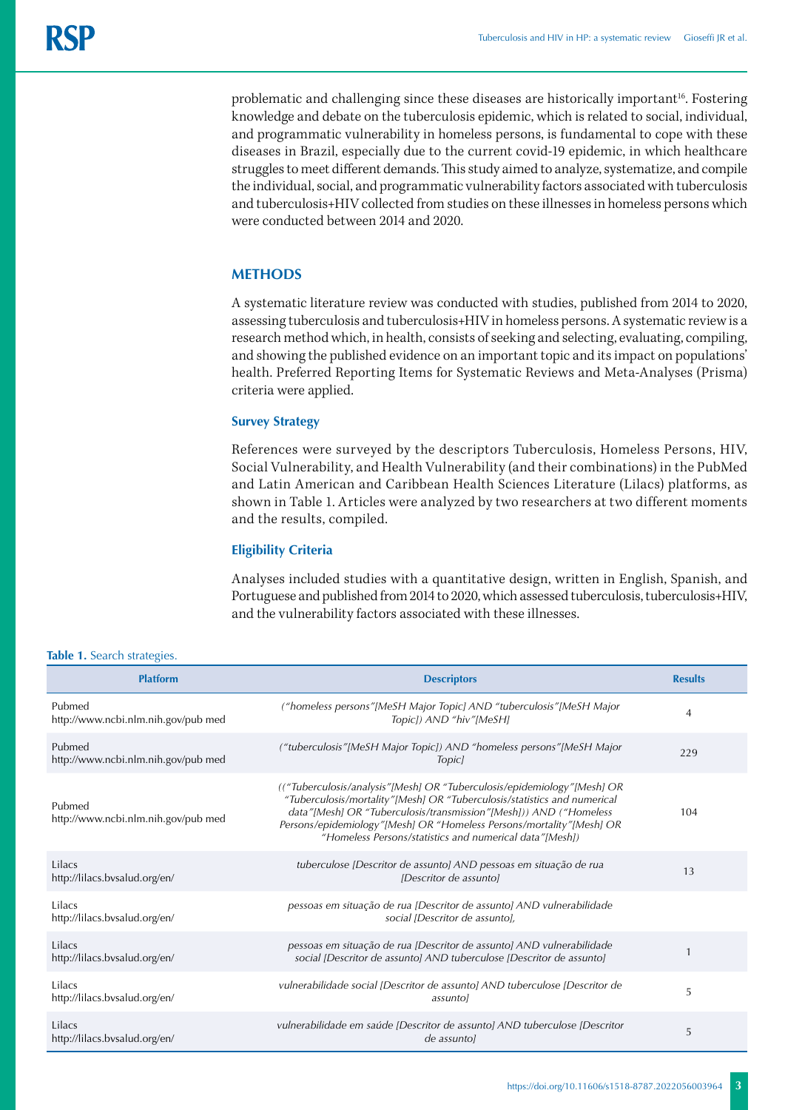problematic and challenging since these diseases are historically important<sup>16</sup>. Fostering knowledge and debate on the tuberculosis epidemic, which is related to social, individual, and programmatic vulnerability in homeless persons, is fundamental to cope with these diseases in Brazil, especially due to the current covid-19 epidemic, in which healthcare struggles to meet different demands. This study aimed to analyze, systematize, and compile the individual, social, and programmatic vulnerability factors associated with tuberculosis and tuberculosis+HIV collected from studies on these illnesses in homeless persons which were conducted between 2014 and 2020.

### **METHODS**

A systematic literature review was conducted with studies, published from 2014 to 2020, assessing tuberculosis and tuberculosis+HIV in homeless persons. A systematic review is a research method which, in health, consists of seeking and selecting, evaluating, compiling, and showing the published evidence on an important topic and its impact on populations' health. Preferred Reporting Items for Systematic Reviews and Meta-Analyses (Prisma) criteria were applied.

#### **Survey Strategy**

References were surveyed by the descriptors Tuberculosis, Homeless Persons, HIV, Social Vulnerability, and Health Vulnerability (and their combinations) in the PubMed and Latin American and Caribbean Health Sciences Literature (Lilacs) platforms, as shown in Table 1. Articles were analyzed by two researchers at two different moments and the results, compiled.

### **Eligibility Criteria**

Analyses included studies with a quantitative design, written in English, Spanish, and Portuguese and published from 2014 to 2020, which assessed tuberculosis, tuberculosis+HIV, and the vulnerability factors associated with these illnesses.

#### **Table 1.** Search strategies.

| <b>Platform</b>                               | <b>Descriptors</b>                                                                                                                                                                                                                                                                                                                                          | <b>Results</b> |
|-----------------------------------------------|-------------------------------------------------------------------------------------------------------------------------------------------------------------------------------------------------------------------------------------------------------------------------------------------------------------------------------------------------------------|----------------|
| Pubmed<br>http://www.ncbi.nlm.nih.gov/pub med | ("homeless persons"[MeSH Major Topic] AND "tuberculosis"[MeSH Major<br>Topic]) AND "hiv"[MeSH]                                                                                                                                                                                                                                                              | 4              |
| Pubmed<br>http://www.ncbi.nlm.nih.gov/pub med | ("tuberculosis"[MeSH Major Topic]) AND "homeless persons"[MeSH Major<br>Topic)                                                                                                                                                                                                                                                                              | 229            |
| Pubmed<br>http://www.ncbi.nlm.nih.gov/pub med | (("Tuberculosis/analysis"[Mesh] OR "Tuberculosis/epidemiology"[Mesh] OR<br>"Tuberculosis/mortality"[Mesh] OR "Tuberculosis/statistics and numerical<br>data"[Mesh] OR "Tuberculosis/transmission"[Mesh])) AND ("Homeless<br>Persons/epidemiology"[Mesh] OR "Homeless Persons/mortality"[Mesh] OR<br>"Homeless Persons/statistics and numerical data"[Mesh]) | 104            |
| Lilacs<br>http://lilacs.bvsalud.org/en/       | tuberculose [Descritor de assunto] AND pessoas em situação de rua<br><i>IDescritor de assuntol</i>                                                                                                                                                                                                                                                          | 13             |
| Lilacs<br>http://lilacs.bvsalud.org/en/       | pessoas em situação de rua [Descritor de assunto] AND vulnerabilidade<br>social IDescritor de assuntol.                                                                                                                                                                                                                                                     |                |
| Lilacs<br>http://lilacs.bvsalud.org/en/       | pessoas em situação de rua [Descritor de assunto] AND vulnerabilidade<br>social (Descritor de assunto) AND tuberculose (Descritor de assunto)                                                                                                                                                                                                               |                |
| Lilacs<br>http://lilacs.bvsalud.org/en/       | vulnerabilidade social [Descritor de assunto] AND tuberculose [Descritor de<br>assuntol                                                                                                                                                                                                                                                                     | 5              |
| Lilacs<br>http://lilacs.bvsalud.org/en/       | vulnerabilidade em saúde [Descritor de assunto] AND tuberculose [Descritor<br>de assuntol                                                                                                                                                                                                                                                                   | 5              |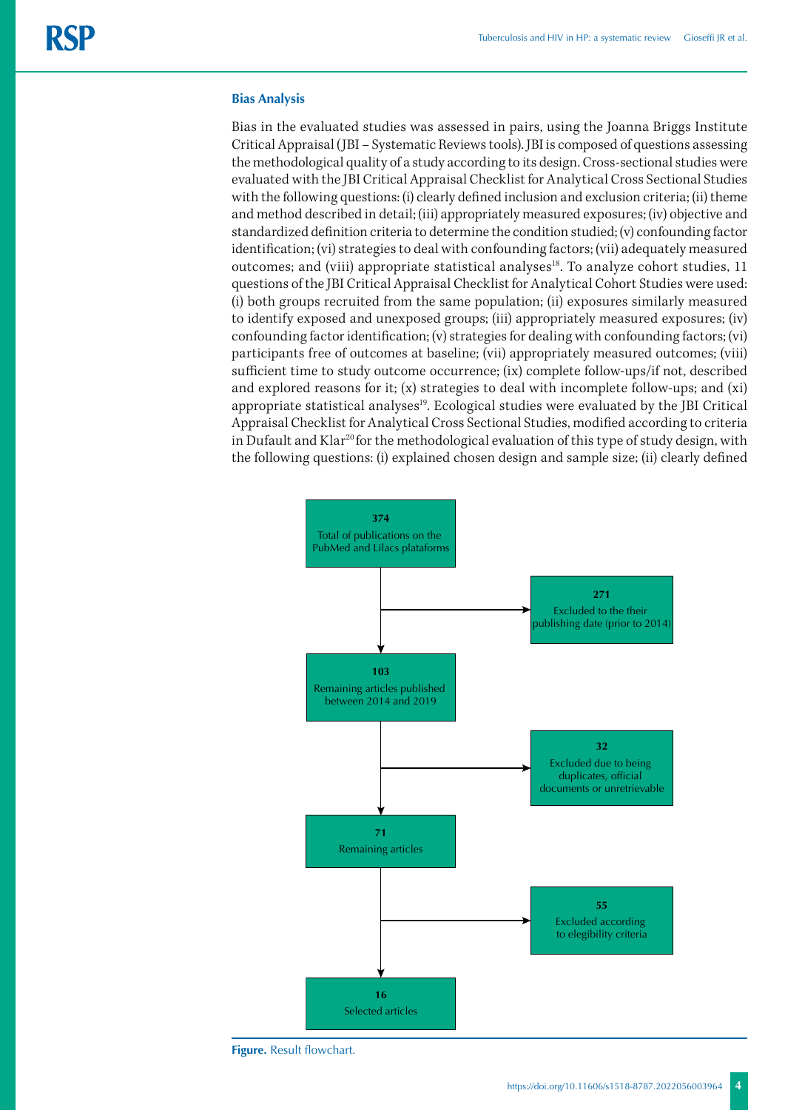#### **Bias Analysis**

Bias in the evaluated studies was assessed in pairs, using the Joanna Briggs Institute Critical Appraisal (JBI – Systematic Reviews tools). JBI is composed of questions assessing the methodological quality of a study according to its design. Cross-sectional studies were evaluated with the JBI Critical Appraisal Checklist for Analytical Cross Sectional Studies with the following questions: (i) clearly defined inclusion and exclusion criteria; (ii) theme and method described in detail; (iii) appropriately measured exposures; (iv) objective and standardized definition criteria to determine the condition studied; (v) confounding factor identification; (vi) strategies to deal with confounding factors; (vii) adequately measured outcomes; and (viii) appropriate statistical analyses<sup>18</sup>. To analyze cohort studies, 11 questions of the JBI Critical Appraisal Checklist for Analytical Cohort Studies were used: (i) both groups recruited from the same population; (ii) exposures similarly measured to identify exposed and unexposed groups; (iii) appropriately measured exposures; (iv) confounding factor identification; (v) strategies for dealing with confounding factors; (vi) participants free of outcomes at baseline; (vii) appropriately measured outcomes; (viii) sufficient time to study outcome occurrence; (ix) complete follow-ups/if not, described and explored reasons for it;  $(x)$  strategies to deal with incomplete follow-ups; and  $(xi)$ appropriate statistical analyses<sup>19</sup>. Ecological studies were evaluated by the JBI Critical Appraisal Checklist for Analytical Cross Sectional Studies, modified according to criteria in Dufault and Klar<sup>20</sup> for the methodological evaluation of this type of study design, with the following questions: (i) explained chosen design and sample size; (ii) clearly defined



**Figure.** Result flowchart.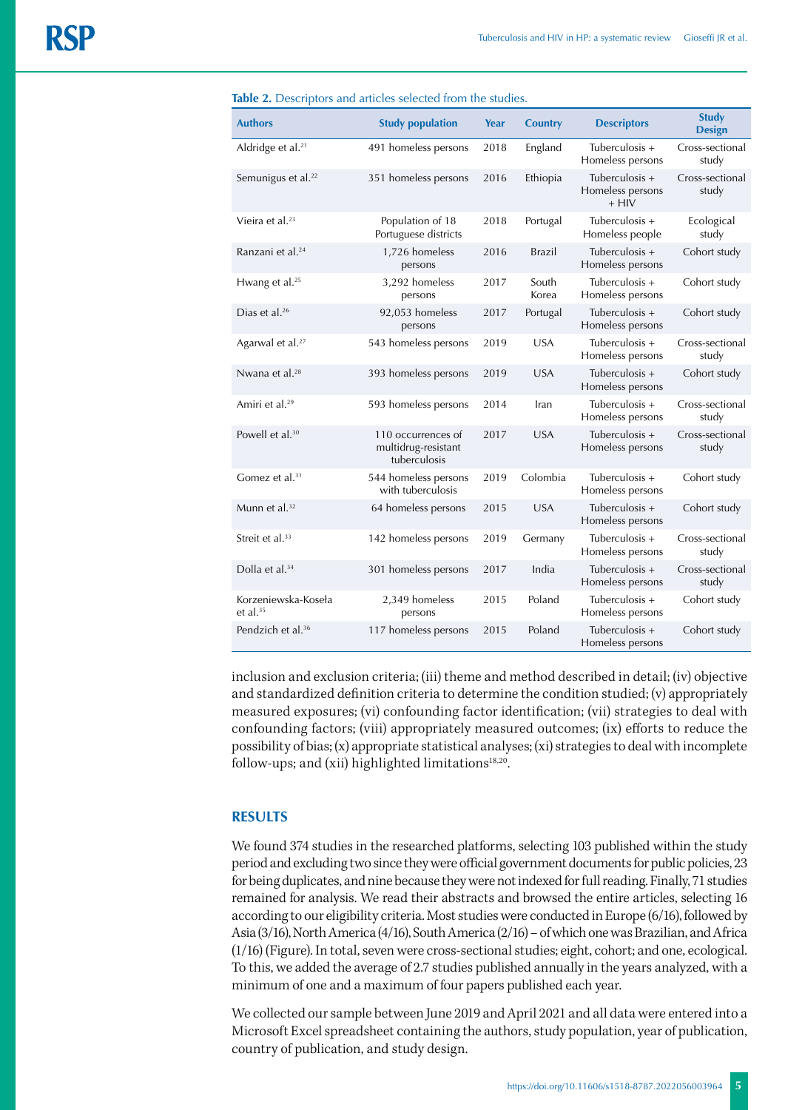| <b>Authors</b>                     | <b>Study population</b>                                   | Year | <b>Country</b> | <b>Descriptors</b>                            | <b>Study</b><br><b>Design</b> |
|------------------------------------|-----------------------------------------------------------|------|----------------|-----------------------------------------------|-------------------------------|
| Aldridge et al. <sup>21</sup>      | 491 homeless persons                                      | 2018 | England        | Tuberculosis +<br>Homeless persons            | Cross-sectional<br>study      |
| Semunigus et al. <sup>22</sup>     | 351 homeless persons                                      | 2016 | Ethiopia       | Tuberculosis +<br>Homeless persons<br>$+$ HIV | Cross-sectional<br>study      |
| Vieira et al. <sup>23</sup>        | Population of 18<br>Portuguese districts                  | 2018 | Portugal       | Tuberculosis +<br>Homeless people             | Ecological<br>study           |
| Ranzani et al. <sup>24</sup>       | 1,726 homeless<br>persons                                 | 2016 | Brazil         | Tuberculosis +<br>Homeless persons            | Cohort study                  |
| Hwang et al. <sup>25</sup>         | 3,292 homeless<br>persons                                 | 2017 | South<br>Korea | Tuberculosis +<br>Homeless persons            | Cohort study                  |
| Dias et al. <sup>26</sup>          | 92,053 homeless<br>persons                                | 2017 | Portugal       | Tuberculosis +<br>Homeless persons            | Cohort study                  |
| Agarwal et al. <sup>27</sup>       | 543 homeless persons                                      | 2019 | <b>USA</b>     | Tuberculosis +<br>Homeless persons            | Cross-sectional<br>study      |
| Nwana et al. <sup>28</sup>         | 393 homeless persons                                      | 2019 | <b>USA</b>     | Tuberculosis +<br>Homeless persons            | Cohort study                  |
| Amiri et al. <sup>29</sup>         | 593 homeless persons                                      | 2014 | Iran           | Tuberculosis +<br>Homeless persons            | Cross-sectional<br>study      |
| Powell et al. <sup>30</sup>        | 110 occurrences of<br>multidrug-resistant<br>tuberculosis | 2017 | <b>USA</b>     | Tuberculosis +<br>Homeless persons            | Cross-sectional<br>study      |
| Gomez et al. <sup>31</sup>         | 544 homeless persons<br>with tuberculosis                 | 2019 | Colombia       | Tuberculosis +<br>Homeless persons            | Cohort study                  |
| Munn et al. <sup>32</sup>          | 64 homeless persons                                       | 2015 | <b>USA</b>     | Tuberculosis +<br>Homeless persons            | Cohort study                  |
| Streit et al. <sup>33</sup>        | 142 homeless persons                                      | 2019 | Germany        | Tuberculosis +<br>Homeless persons            | Cross-sectional<br>study      |
| Dolla et al. <sup>34</sup>         | 301 homeless persons                                      | 2017 | India          | Tuberculosis +<br>Homeless persons            | Cross-sectional<br>study      |
| Korzeniewska-Koseła<br>et al. $35$ | 2,349 homeless<br>persons                                 | 2015 | Poland         | Tuberculosis +<br>Homeless persons            | Cohort study                  |
| Pendzich et al. <sup>36</sup>      | 117 homeless persons                                      | 2015 | Poland         | Tuberculosis +<br>Homeless persons            | Cohort study                  |

**Table 2.** Descriptors and articles selected from the studies.

inclusion and exclusion criteria; (iii) theme and method described in detail; (iv) objective and standardized definition criteria to determine the condition studied; (v) appropriately measured exposures; (vi) confounding factor identification; (vii) strategies to deal with confounding factors; (viii) appropriately measured outcomes; (ix) efforts to reduce the possibility of bias; (x) appropriate statistical analyses; (xi) strategies to deal with incomplete follow-ups; and (xii) highlighted limitations $18,20$ .

#### **RESULTS**

We found 374 studies in the researched platforms, selecting 103 published within the study period and excluding two since they were official government documents for public policies, 23 for being duplicates, and nine because they were not indexed for full reading. Finally, 71 studies remained for analysis. We read their abstracts and browsed the entire articles, selecting 16 according to our eligibility criteria. Most studies were conducted in Europe (6/16), followed by Asia (3/16), North America (4/16), South America (2/16) – of which one was Brazilian, and Africa (1/16) (Figure). In total, seven were cross-sectional studies; eight, cohort; and one, ecological. To this, we added the average of 2.7 studies published annually in the years analyzed, with a minimum of one and a maximum of four papers published each year.

We collected our sample between June 2019 and April 2021 and all data were entered into a Microsoft Excel spreadsheet containing the authors, study population, year of publication, country of publication, and study design.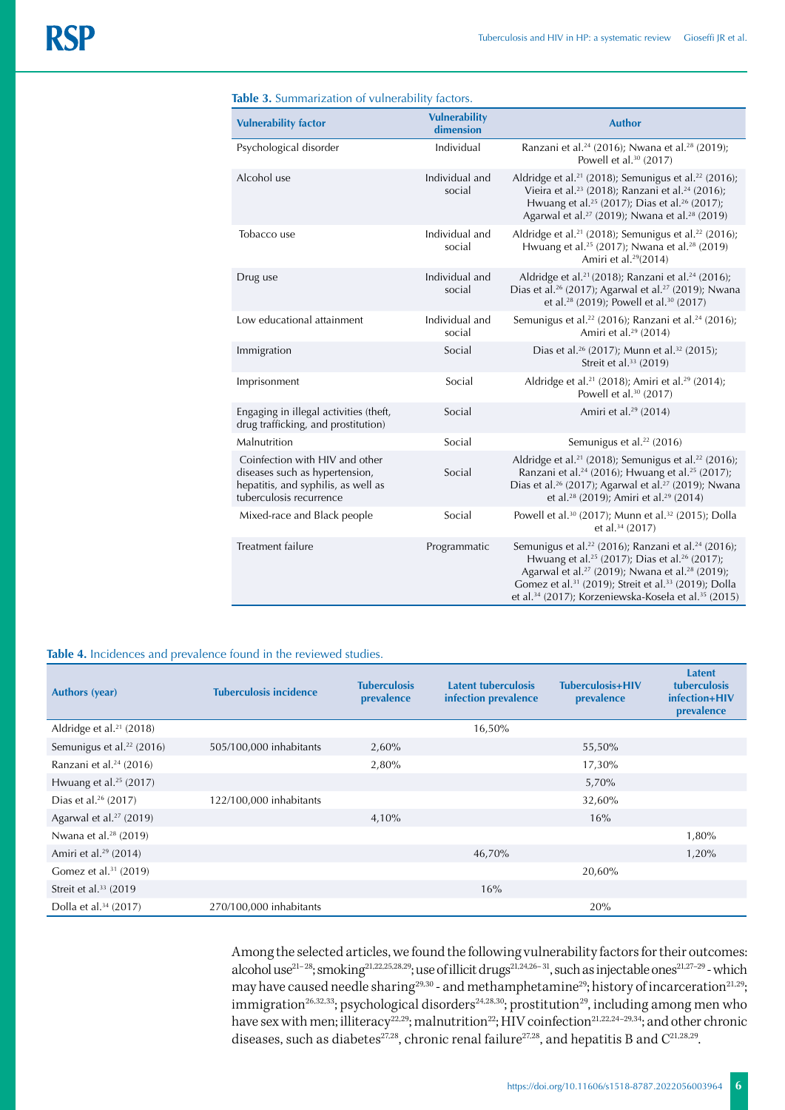|  | <b>Table 3.</b> Summarization of vulnerability factors. |  |  |
|--|---------------------------------------------------------|--|--|
|--|---------------------------------------------------------|--|--|

| <b>Vulnerability factor</b>                                                                                                        | <b>Vulnerability</b><br>dimension | <b>Author</b>                                                                                                                                                                                                                                                                                                                                                                                   |
|------------------------------------------------------------------------------------------------------------------------------------|-----------------------------------|-------------------------------------------------------------------------------------------------------------------------------------------------------------------------------------------------------------------------------------------------------------------------------------------------------------------------------------------------------------------------------------------------|
| Psychological disorder                                                                                                             | Individual                        | Ranzani et al. <sup>24</sup> (2016); Nwana et al. <sup>28</sup> (2019);<br>Powell et al. <sup>30</sup> (2017)                                                                                                                                                                                                                                                                                   |
| Alcohol use                                                                                                                        | Individual and<br>social          | Aldridge et al. <sup>21</sup> (2018); Semunigus et al. <sup>22</sup> (2016);<br>Vieira et al. <sup>23</sup> (2018); Ranzani et al. <sup>24</sup> (2016);<br>Hwuang et al. <sup>25</sup> (2017); Dias et al. <sup>26</sup> (2017);<br>Agarwal et al. <sup>27</sup> (2019); Nwana et al. <sup>28</sup> (2019)                                                                                     |
| Tobacco use                                                                                                                        | Individual and<br>social          | Aldridge et al. <sup>21</sup> (2018); Semunigus et al. <sup>22</sup> (2016);<br>Hwuang et al. <sup>25</sup> (2017); Nwana et al. <sup>28</sup> (2019)<br>Amiri et al. <sup>29</sup> (2014)                                                                                                                                                                                                      |
| Drug use                                                                                                                           | Individual and<br>social          | Aldridge et al. <sup>21</sup> (2018); Ranzani et al. <sup>24</sup> (2016);<br>Dias et al. <sup>26</sup> (2017); Agarwal et al. <sup>27</sup> (2019); Nwana<br>et al. <sup>28</sup> (2019); Powell et al. <sup>30</sup> (2017)                                                                                                                                                                   |
| Low educational attainment                                                                                                         | Individual and<br>social          | Semunigus et al. <sup>22</sup> (2016); Ranzani et al. <sup>24</sup> (2016);<br>Amiri et al. <sup>29</sup> (2014)                                                                                                                                                                                                                                                                                |
| Immigration                                                                                                                        | Social                            | Dias et al. <sup>26</sup> (2017); Munn et al. <sup>32</sup> (2015);<br>Streit et al. <sup>33</sup> (2019)                                                                                                                                                                                                                                                                                       |
| Imprisonment                                                                                                                       | Social                            | Aldridge et al. <sup>21</sup> (2018); Amiri et al. <sup>29</sup> (2014);<br>Powell et al. <sup>30</sup> (2017)                                                                                                                                                                                                                                                                                  |
| Engaging in illegal activities (theft,<br>drug trafficking, and prostitution)                                                      | Social                            | Amiri et al. <sup>29</sup> (2014)                                                                                                                                                                                                                                                                                                                                                               |
| Malnutrition                                                                                                                       | Social                            | Semunigus et al. <sup>22</sup> (2016)                                                                                                                                                                                                                                                                                                                                                           |
| Coinfection with HIV and other<br>diseases such as hypertension,<br>hepatitis, and syphilis, as well as<br>tuberculosis recurrence | Social                            | Aldridge et al. <sup>21</sup> (2018); Semunigus et al. <sup>22</sup> (2016);<br>Ranzani et al. <sup>24</sup> (2016); Hwuang et al. <sup>25</sup> (2017);<br>Dias et al. <sup>26</sup> (2017); Agarwal et al. <sup>27</sup> (2019); Nwana<br>et al. <sup>28</sup> (2019); Amiri et al. <sup>29</sup> (2014)                                                                                      |
| Mixed-race and Black people                                                                                                        | Social                            | Powell et al. <sup>30</sup> (2017); Munn et al. <sup>32</sup> (2015); Dolla<br>et al. <sup>34</sup> (2017)                                                                                                                                                                                                                                                                                      |
| Treatment failure                                                                                                                  | Programmatic                      | Semunigus et al. <sup>22</sup> (2016); Ranzani et al. <sup>24</sup> (2016);<br>Hwuang et al. <sup>25</sup> (2017); Dias et al. <sup>26</sup> (2017);<br>Agarwal et al. <sup>27</sup> (2019); Nwana et al. <sup>28</sup> (2019);<br>Gomez et al. <sup>31</sup> (2019); Streit et al. <sup>33</sup> (2019); Dolla<br>et al. <sup>34</sup> (2017); Korzeniewska-Koseła et al. <sup>35</sup> (2015) |

#### **Table 4.** Incidences and prevalence found in the reviewed studies.

| <b>Authors (year)</b>                 | <b>Tuberculosis incidence</b> | <b>Tuberculosis</b><br>prevalence | Latent tuberculosis<br>infection prevalence | Tuberculosis+HIV<br>prevalence | <b>Latent</b><br><b>tuberculosis</b><br>infection+HIV<br>prevalence |
|---------------------------------------|-------------------------------|-----------------------------------|---------------------------------------------|--------------------------------|---------------------------------------------------------------------|
| Aldridge et al. $21$ (2018)           |                               |                                   | 16,50%                                      |                                |                                                                     |
| Semunigus et al. <sup>22</sup> (2016) | 505/100,000 inhabitants       | 2,60%                             |                                             | 55,50%                         |                                                                     |
| Ranzani et al. <sup>24</sup> (2016)   |                               | 2,80%                             |                                             | 17,30%                         |                                                                     |
| Hwuang et al. $25$ (2017)             |                               |                                   |                                             | 5,70%                          |                                                                     |
| Dias et al. <sup>26</sup> (2017)      | 122/100,000 inhabitants       |                                   |                                             | 32,60%                         |                                                                     |
| Agarwal et al. $27$ (2019)            |                               | 4,10%                             |                                             | 16%                            |                                                                     |
| Nwana et al. <sup>28</sup> (2019)     |                               |                                   |                                             |                                | 1,80%                                                               |
| Amiri et al. <sup>29</sup> (2014)     |                               |                                   | 46,70%                                      |                                | 1,20%                                                               |
| Gomez et al. <sup>31</sup> (2019)     |                               |                                   |                                             | 20,60%                         |                                                                     |
| Streit et al. $33$ (2019)             |                               |                                   | 16%                                         |                                |                                                                     |
| Dolla et al. <sup>34</sup> (2017)     | 270/100,000 inhabitants       |                                   |                                             | 20%                            |                                                                     |

Among the selected articles, we found the following vulnerability factors for their outcomes: alcohol use<sup>21–28</sup>; smoking<sup>21,22,25,28,29</sup>; use of illicit drugs<sup>21,24,26–31</sup>, such as injectable ones<sup>21,27–29</sup> - which may have caused needle sharing<sup>29,30</sup> - and methamphetamine<sup>29</sup>; history of incarceration<sup>21,29</sup>; immigration $^{26,32,33}$ ; psychological disorders $^{24,28,30}$ ; prostitution $^{29}$ , including among men who have sex with men; illiteracy $^{22,29}$ ; malnutrition $^{22}$ ; HIV coinfection $^{21,22,24-29,34}$ ; and other chronic diseases, such as diabetes<sup>27,28</sup>, chronic renal failure<sup>27,28</sup>, and hepatitis B and  $C^{21,28,29}$ .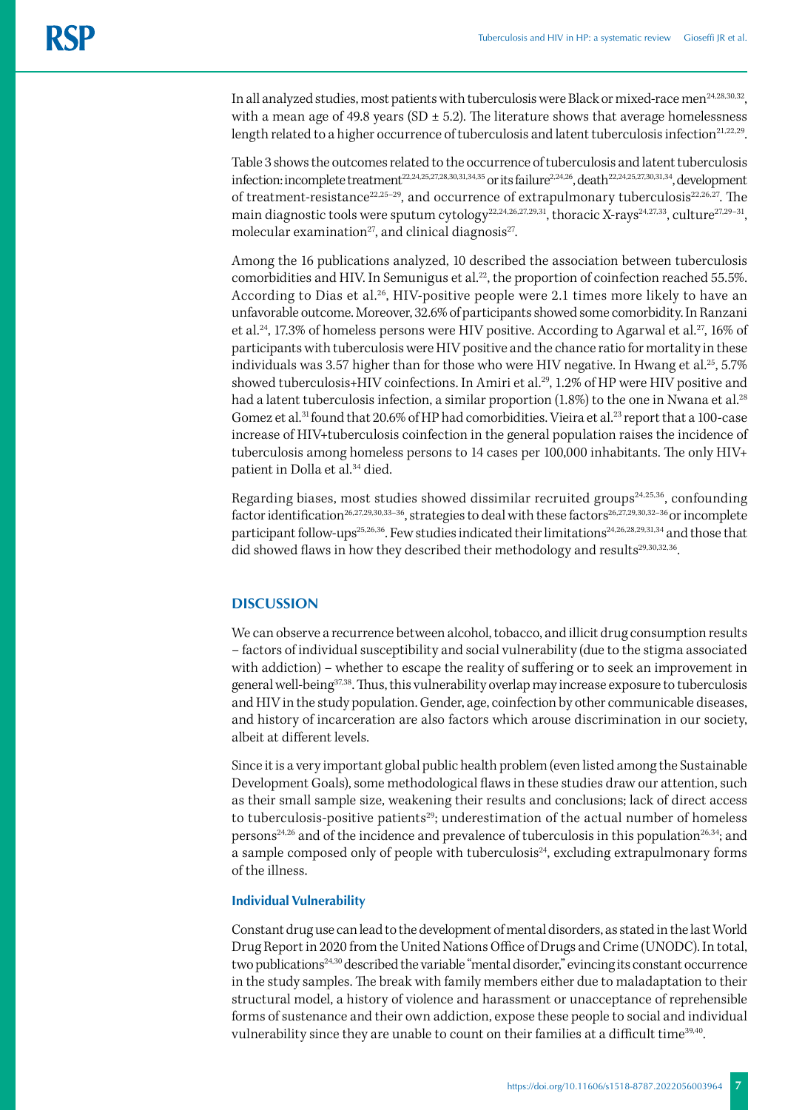In all analyzed studies, most patients with tuberculosis were Black or mixed-race men<sup>24,28,30,32</sup>, with a mean age of 49.8 years (SD  $\pm$  5.2). The literature shows that average homelessness length related to a higher occurrence of tuberculosis and latent tuberculosis infection<sup>21,22,29</sup>.

Table 3 shows the outcomes related to the occurrence of tuberculosis and latent tuberculosis infection: incomplete treatment<sup>22,24,25,27,28,30,31,34,35</sup> or its failure<sup>2,24,26</sup>, death<sup>22,24,25,27,30,31,34</sup>, development of treatment-resistance<sup>22,25-29</sup>, and occurrence of extrapulmonary tuberculosis<sup>22,26,27</sup>. The main diagnostic tools were sputum cytology<sup>22,24,26,27,29,31</sup>, thoracic X-rays<sup>24,27,33</sup>, culture<sup>27,29-31</sup>, molecular examination<sup>27</sup>, and clinical diagnosis<sup>27</sup>.

Among the 16 publications analyzed, 10 described the association between tuberculosis comorbidities and HIV. In Semunigus et al.<sup>22</sup>, the proportion of coinfection reached 55.5%. According to Dias et al.<sup>26</sup>, HIV-positive people were 2.1 times more likely to have an unfavorable outcome. Moreover, 32.6% of participants showed some comorbidity. In Ranzani et al.<sup>24</sup>, 17.3% of homeless persons were HIV positive. According to Agarwal et al.<sup>27</sup>, 16% of participants with tuberculosis were HIV positive and the chance ratio for mortality in these individuals was 3.57 higher than for those who were HIV negative. In Hwang et al.<sup>25</sup>, 5.7% showed tuberculosis+HIV coinfections. In Amiri et al.<sup>29</sup>, 1.2% of HP were HIV positive and had a latent tuberculosis infection, a similar proportion (1.8%) to the one in Nwana et al.<sup>28</sup> Gomez et al.<sup>31</sup> found that 20.6% of HP had comorbidities. Vieira et al.<sup>23</sup> report that a 100-case increase of HIV+tuberculosis coinfection in the general population raises the incidence of tuberculosis among homeless persons to 14 cases per 100,000 inhabitants. The only HIV+ patient in Dolla et al.<sup>34</sup> died.

Regarding biases, most studies showed dissimilar recruited groups<sup>24,25,36</sup>, confounding factor identification<sup>26,27,29,30,33-36</sup>, strategies to deal with these factors<sup>26,27,29,30,32-36</sup> or incomplete participant follow-ups<sup>25,26,36</sup>. Few studies indicated their limitations<sup>24,26,28,29,31,34</sup> and those that did showed flaws in how they described their methodology and results<sup>29,30,32,36</sup>.

#### **DISCUSSION**

We can observe a recurrence between alcohol, tobacco, and illicit drug consumption results – factors of individual susceptibility and social vulnerability (due to the stigma associated with addiction) – whether to escape the reality of suffering or to seek an improvement in general well-being<sup>37,38</sup>. Thus, this vulnerability overlap may increase exposure to tuberculosis and HIV in the study population. Gender, age, coinfection by other communicable diseases, and history of incarceration are also factors which arouse discrimination in our society, albeit at different levels.

Since it is a very important global public health problem (even listed among the Sustainable Development Goals), some methodological flaws in these studies draw our attention, such as their small sample size, weakening their results and conclusions; lack of direct access to tuberculosis-positive patients<sup>29</sup>; underestimation of the actual number of homeless persons<sup>24,26</sup> and of the incidence and prevalence of tuberculosis in this population<sup>26,34</sup>; and a sample composed only of people with tuberculosis $24$ , excluding extrapulmonary forms of the illness.

#### **Individual Vulnerability**

Constant drug use can lead to the development of mental disorders, as stated in the last World Drug Report in 2020 from the United Nations Office of Drugs and Crime (UNODC). In total, two publications24,30 described the variable "mental disorder," evincing its constant occurrence in the study samples. The break with family members either due to maladaptation to their structural model, a history of violence and harassment or unacceptance of reprehensible forms of sustenance and their own addiction, expose these people to social and individual vulnerability since they are unable to count on their families at a difficult time<sup>39,40</sup>.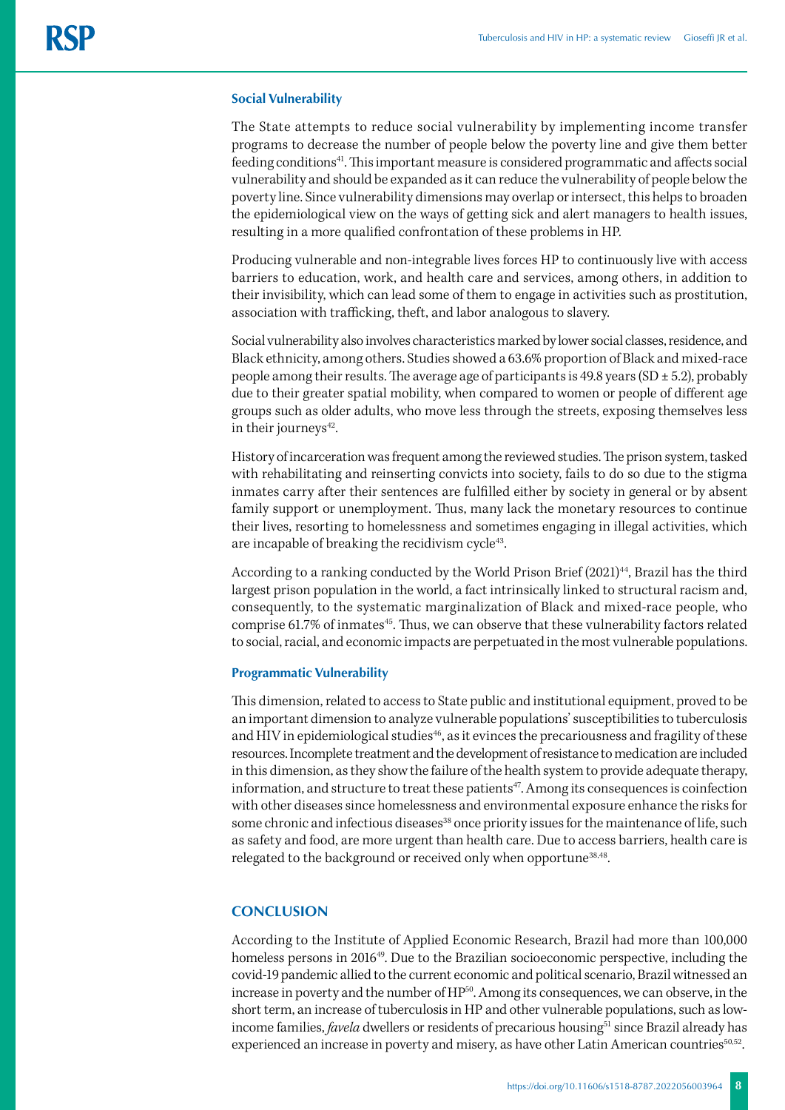#### **Social Vulnerability**

The State attempts to reduce social vulnerability by implementing income transfer programs to decrease the number of people below the poverty line and give them better feeding conditions41. This important measure is considered programmatic and affects social vulnerability and should be expanded as it can reduce the vulnerability of people below the poverty line. Since vulnerability dimensions may overlap or intersect, this helps to broaden the epidemiological view on the ways of getting sick and alert managers to health issues, resulting in a more qualified confrontation of these problems in HP.

Producing vulnerable and non-integrable lives forces HP to continuously live with access barriers to education, work, and health care and services, among others, in addition to their invisibility, which can lead some of them to engage in activities such as prostitution, association with trafficking, theft, and labor analogous to slavery.

Social vulnerability also involves characteristics marked by lower social classes, residence, and Black ethnicity, among others. Studies showed a 63.6% proportion of Black and mixed-race people among their results. The average age of participants is  $49.8$  years (SD  $\pm$  5.2), probably due to their greater spatial mobility, when compared to women or people of different age groups such as older adults, who move less through the streets, exposing themselves less in their journeys<sup>42</sup>.

History of incarceration was frequent among the reviewed studies. The prison system, tasked with rehabilitating and reinserting convicts into society, fails to do so due to the stigma inmates carry after their sentences are fulfilled either by society in general or by absent family support or unemployment. Thus, many lack the monetary resources to continue their lives, resorting to homelessness and sometimes engaging in illegal activities, which are incapable of breaking the recidivism cycle<sup>43</sup>.

According to a ranking conducted by the World Prison Brief (2021)<sup>44</sup>, Brazil has the third largest prison population in the world, a fact intrinsically linked to structural racism and, consequently, to the systematic marginalization of Black and mixed-race people, who comprise 61.7% of inmates<sup>45</sup>. Thus, we can observe that these vulnerability factors related to social, racial, and economic impacts are perpetuated in the most vulnerable populations.

#### **Programmatic Vulnerability**

This dimension, related to access to State public and institutional equipment, proved to be an important dimension to analyze vulnerable populations' susceptibilities to tuberculosis and HIV in epidemiological studies<sup>46</sup>, as it evinces the precariousness and fragility of these resources. Incomplete treatment and the development of resistance to medication are included in this dimension, as they show the failure of the health system to provide adequate therapy, information, and structure to treat these patients<sup>47</sup>. Among its consequences is coinfection with other diseases since homelessness and environmental exposure enhance the risks for some chronic and infectious diseases<sup>38</sup> once priority issues for the maintenance of life, such as safety and food, are more urgent than health care. Due to access barriers, health care is relegated to the background or received only when opportune<sup>38,48</sup>.

#### **CONCLUSION**

According to the Institute of Applied Economic Research, Brazil had more than 100,000 homeless persons in 2016<sup>49</sup>. Due to the Brazilian socioeconomic perspective, including the covid-19 pandemic allied to the current economic and political scenario, Brazil witnessed an increase in poverty and the number of HP<sup>50</sup>. Among its consequences, we can observe, in the short term, an increase of tuberculosis in HP and other vulnerable populations, such as lowincome families, *favela* dwellers or residents of precarious housing<sup>51</sup> since Brazil already has experienced an increase in poverty and misery, as have other Latin American countries<sup>50,52</sup>.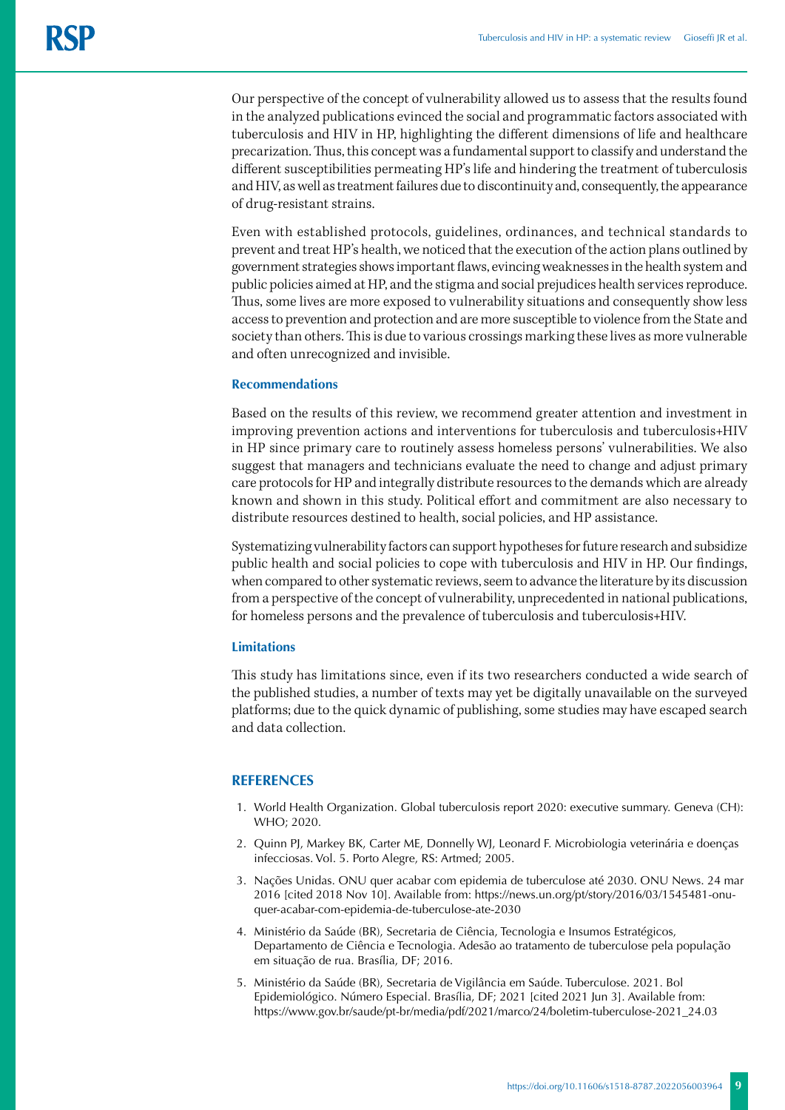Our perspective of the concept of vulnerability allowed us to assess that the results found in the analyzed publications evinced the social and programmatic factors associated with tuberculosis and HIV in HP, highlighting the different dimensions of life and healthcare precarization. Thus, this concept was a fundamental support to classify and understand the different susceptibilities permeating HP's life and hindering the treatment of tuberculosis and HIV, as well as treatment failures due to discontinuity and, consequently, the appearance of drug-resistant strains.

Even with established protocols, guidelines, ordinances, and technical standards to prevent and treat HP's health, we noticed that the execution of the action plans outlined by government strategies shows important flaws, evincing weaknesses in the health system and public policies aimed at HP, and the stigma and social prejudices health services reproduce. Thus, some lives are more exposed to vulnerability situations and consequently show less access to prevention and protection and are more susceptible to violence from the State and society than others. This is due to various crossings marking these lives as more vulnerable and often unrecognized and invisible.

#### **Recommendations**

Based on the results of this review, we recommend greater attention and investment in improving prevention actions and interventions for tuberculosis and tuberculosis+HIV in HP since primary care to routinely assess homeless persons' vulnerabilities. We also suggest that managers and technicians evaluate the need to change and adjust primary care protocols for HP and integrally distribute resources to the demands which are already known and shown in this study. Political effort and commitment are also necessary to distribute resources destined to health, social policies, and HP assistance.

Systematizing vulnerability factors can support hypotheses for future research and subsidize public health and social policies to cope with tuberculosis and HIV in HP. Our findings, when compared to other systematic reviews, seem to advance the literature by its discussion from a perspective of the concept of vulnerability, unprecedented in national publications, for homeless persons and the prevalence of tuberculosis and tuberculosis+HIV.

#### **Limitations**

This study has limitations since, even if its two researchers conducted a wide search of the published studies, a number of texts may yet be digitally unavailable on the surveyed platforms; due to the quick dynamic of publishing, some studies may have escaped search and data collection.

#### **REFERENCES**

- 1. World Health Organization. Global tuberculosis report 2020: executive summary. Geneva (CH): WHO; 2020.
- 2. Quinn PJ, Markey BK, Carter ME, Donnelly WJ, Leonard F. Microbiologia veterinária e doenças infecciosas. Vol. 5. Porto Alegre, RS: Artmed; 2005.
- 3. Nações Unidas. ONU quer acabar com epidemia de tuberculose até 2030. ONU News. 24 mar 2016 [cited 2018 Nov 10]. Available from: https://news.un.org/pt/story/2016/03/1545481-onuquer-acabar-com-epidemia-de-tuberculose-ate-2030
- 4. Ministério da Saúde (BR), Secretaria de Ciência, Tecnologia e Insumos Estratégicos, Departamento de Ciência e Tecnologia. Adesão ao tratamento de tuberculose pela população em situação de rua. Brasília, DF; 2016.
- 5. Ministério da Saúde (BR), Secretaria de Vigilância em Saúde. Tuberculose. 2021. Bol Epidemiológico. Número Especial. Brasília, DF; 2021 [cited 2021 Jun 3]. Available from: https://www.gov.br/saude/pt-br/media/pdf/2021/marco/24/boletim-tuberculose-2021\_24.03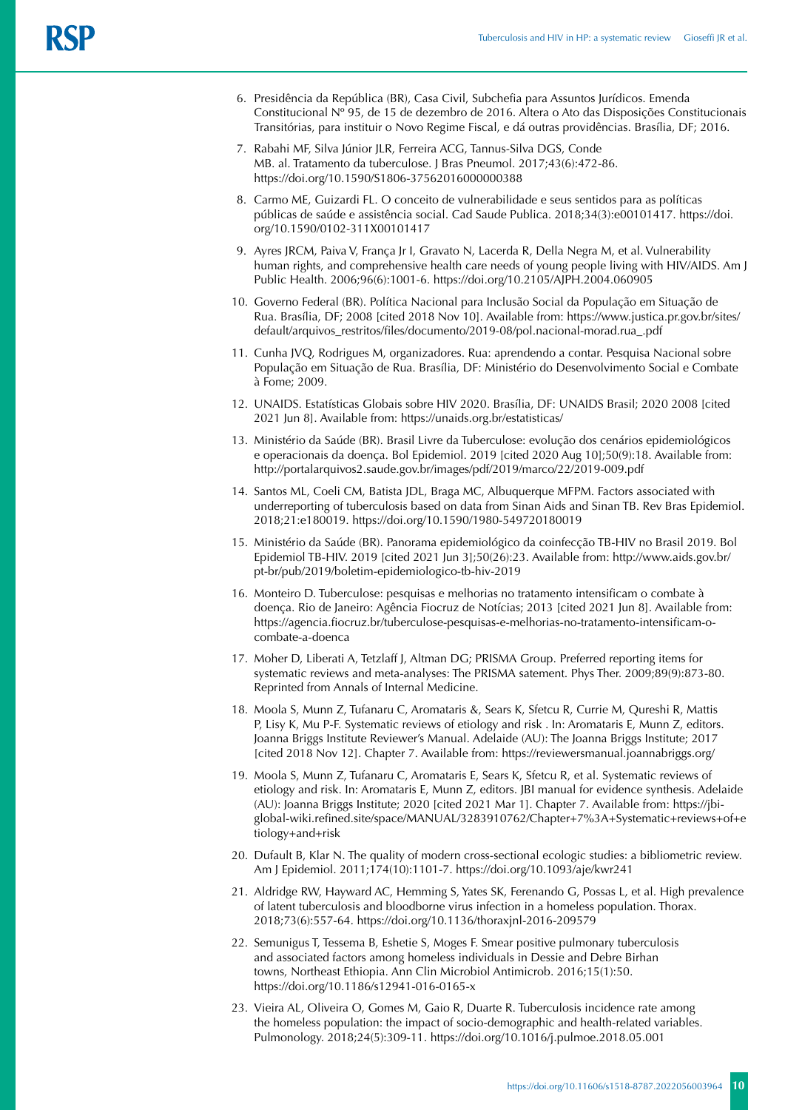- 6. Presidência da República (BR), Casa Civil, Subchefia para Assuntos Jurídicos. Emenda Constitucional Nº 95, de 15 de dezembro de 2016. Altera o Ato das Disposições Constitucionais Transitórias, para instituir o Novo Regime Fiscal, e dá outras providências. Brasília, DF; 2016.
- 7. Rabahi MF, Silva Júnior JLR, Ferreira ACG, Tannus-Silva DGS, Conde MB. al. Tratamento da tuberculose. J Bras Pneumol. 2017;43(6):472-86. https://doi.org/10.1590/S1806-37562016000000388
- 8. Carmo ME, Guizardi FL. O conceito de vulnerabilidade e seus sentidos para as políticas públicas de saúde e assistência social. Cad Saude Publica. 2018;34(3):e00101417. https://doi. org/10.1590/0102-311X00101417
- 9. Ayres JRCM, Paiva V, França Jr I, Gravato N, Lacerda R, Della Negra M, et al. Vulnerability human rights, and comprehensive health care needs of young people living with HIV/AIDS. Am J Public Health. 2006;96(6):1001-6. https://doi.org/10.2105/AJPH.2004.060905
- 10. Governo Federal (BR). Política Nacional para Inclusão Social da População em Situação de Rua. Brasília, DF; 2008 [cited 2018 Nov 10]. Available from: https://www.justica.pr.gov.br/sites/ default/arquivos\_restritos/files/documento/2019-08/pol.nacional-morad.rua\_.pdf
- 11. Cunha JVQ, Rodrigues M, organizadores. Rua: aprendendo a contar. Pesquisa Nacional sobre População em Situação de Rua. Brasília, DF: Ministério do Desenvolvimento Social e Combate à Fome; 2009.
- 12. UNAIDS. Estatísticas Globais sobre HIV 2020. Brasília, DF: UNAIDS Brasil; 2020 2008 [cited 2021 Jun 8]. Available from: https://unaids.org.br/estatisticas/
- 13. Ministério da Saúde (BR). Brasil Livre da Tuberculose: evolução dos cenários epidemiológicos e operacionais da doença. Bol Epidemiol. 2019 [cited 2020 Aug 10];50(9):18. Available from: http://portalarquivos2.saude.gov.br/images/pdf/2019/marco/22/2019-009.pdf
- 14. Santos ML, Coeli CM, Batista JDL, Braga MC, Albuquerque MFPM. Factors associated with underreporting of tuberculosis based on data from Sinan Aids and Sinan TB. Rev Bras Epidemiol. 2018;21:e180019. https://doi.org/10.1590/1980-549720180019
- 15. Ministério da Saúde (BR). Panorama epidemiológico da coinfecção TB-HIV no Brasil 2019. Bol Epidemiol TB-HIV. 2019 [cited 2021 Jun 3];50(26):23. Available from: http://www.aids.gov.br/ pt-br/pub/2019/boletim-epidemiologico-tb-hiv-2019
- 16. Monteiro D. Tuberculose: pesquisas e melhorias no tratamento intensificam o combate à doença. Rio de Janeiro: Agência Fiocruz de Notícias; 2013 [cited 2021 Jun 8]. Available from: [https://agencia.fiocruz.br/tuberculose-pesquisas-e-melhorias-no-tratamento-intensificam-o](https://agencia.fiocruz.br/tuberculose-pesquisas-e-melhorias-no-tratamento-intensificam-o-combate-a-doenca)[combate-a-doenca](https://agencia.fiocruz.br/tuberculose-pesquisas-e-melhorias-no-tratamento-intensificam-o-combate-a-doenca)
- 17. Moher D, Liberati A, Tetzlaff J, Altman DG; PRISMA Group. Preferred reporting items for systematic reviews and meta-analyses: The PRISMA satement. Phys Ther. 2009;89(9):873-80. Reprinted from Annals of Internal Medicine.
- 18. Moola S, Munn Z, Tufanaru C, Aromataris &, Sears K, Sfetcu R, Currie M, Qureshi R, Mattis P, Lisy K, Mu P-F. Systematic reviews of etiology and risk . In: Aromataris E, Munn Z, editors. Joanna Briggs Institute Reviewer's Manual. Adelaide (AU): The Joanna Briggs Institute; 2017 [cited 2018 Nov 12]. Chapter 7. Available from: https://reviewersmanual.joannabriggs.org/
- 19. Moola S, Munn Z, Tufanaru C, Aromataris E, Sears K, Sfetcu R, et al. Systematic reviews of etiology and risk. In: Aromataris E, Munn Z, editors. JBI manual for evidence synthesis. Adelaide (AU): Joanna Briggs Institute; 2020 [cited 2021 Mar 1]. Chapter 7. Available from: https://jbiglobal-wiki.refined.site/space/MANUAL/3283910762/Chapter+7%3A+Systematic+reviews+of+e tiology+and+risk
- 20. Dufault B, Klar N. The quality of modern cross-sectional ecologic studies: a bibliometric review. Am J Epidemiol. 2011;174(10):1101-7. https://doi.org/10.1093/aje/kwr241
- 21. Aldridge RW, Hayward AC, Hemming S, Yates SK, Ferenando G, Possas L, et al. High prevalence of latent tuberculosis and bloodborne virus infection in a homeless population. Thorax. 2018;73(6):557-64. https://doi.org/10.1136/thoraxjnl-2016-209579
- 22. Semunigus T, Tessema B, Eshetie S, Moges F. Smear positive pulmonary tuberculosis and associated factors among homeless individuals in Dessie and Debre Birhan towns, Northeast Ethiopia. Ann Clin Microbiol Antimicrob. 2016;15(1):50. https://doi.org/10.1186/s12941-016-0165-x
- 23. Vieira AL, Oliveira O, Gomes M, Gaio R, Duarte R. Tuberculosis incidence rate among the homeless population: the impact of socio-demographic and health-related variables. Pulmonology. 2018;24(5):309-11. https://doi.org/10.1016/j.pulmoe.2018.05.001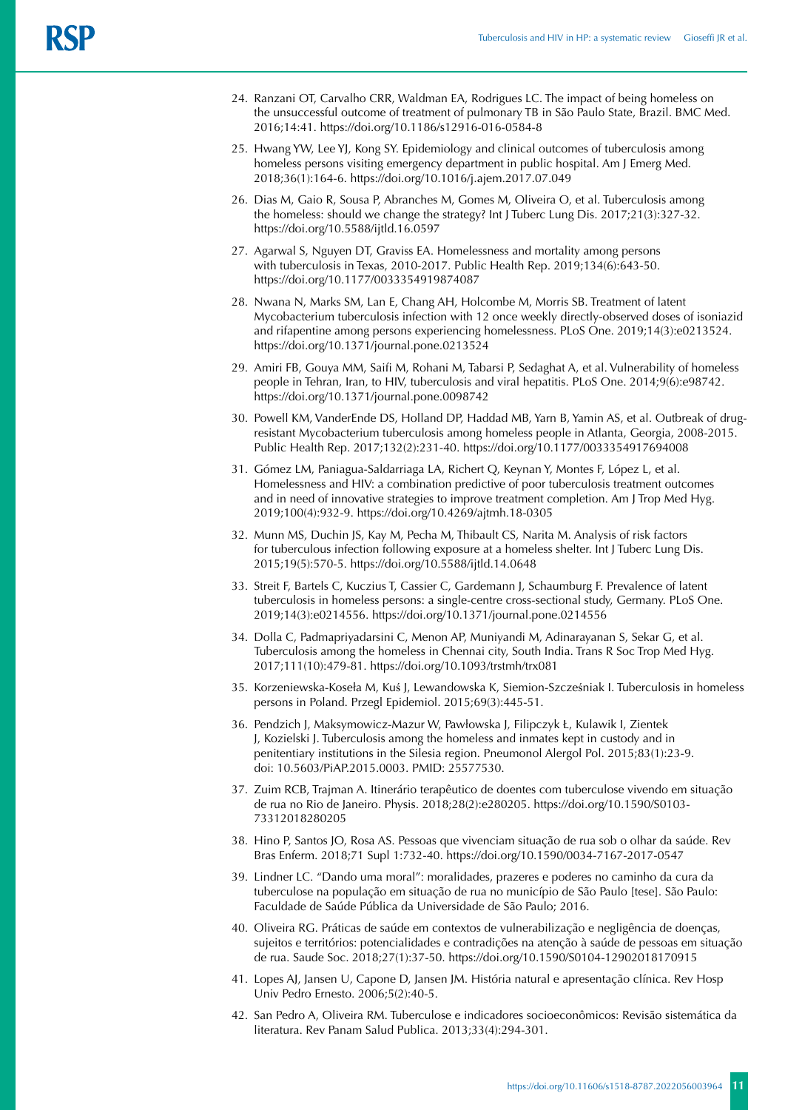- 24. Ranzani OT, Carvalho CRR, Waldman EA, Rodrigues LC. The impact of being homeless on the unsuccessful outcome of treatment of pulmonary TB in São Paulo State, Brazil. BMC Med. 2016;14:41. https://doi.org/10.1186/s12916-016-0584-8
- 25. Hwang YW, Lee YJ, Kong SY. Epidemiology and clinical outcomes of tuberculosis among homeless persons visiting emergency department in public hospital. Am J Emerg Med. 2018;36(1):164-6. https://doi.org/10.1016/j.ajem.2017.07.049
- 26. Dias M, Gaio R, Sousa P, Abranches M, Gomes M, Oliveira O, et al. Tuberculosis among the homeless: should we change the strategy? Int J Tuberc Lung Dis. 2017;21(3):327-32. https://doi.org/10.5588/ijtld.16.0597
- 27. Agarwal S, Nguyen DT, Graviss EA. Homelessness and mortality among persons with tuberculosis in Texas, 2010-2017. Public Health Rep. 2019;134(6):643-50. https://doi.org/10.1177/0033354919874087
- 28. Nwana N, Marks SM, Lan E, Chang AH, Holcombe M, Morris SB. Treatment of latent Mycobacterium tuberculosis infection with 12 once weekly directly-observed doses of isoniazid and rifapentine among persons experiencing homelessness. PLoS One. 2019;14(3):e0213524. https://doi.org/10.1371/journal.pone.0213524
- 29. Amiri FB, Gouya MM, Saifi M, Rohani M, Tabarsi P, Sedaghat A, et al. Vulnerability of homeless people in Tehran, Iran, to HIV, tuberculosis and viral hepatitis. PLoS One. 2014;9(6):e98742. https://doi.org/10.1371/journal.pone.0098742
- 30. Powell KM, VanderEnde DS, Holland DP, Haddad MB, Yarn B, Yamin AS, et al. Outbreak of drugresistant Mycobacterium tuberculosis among homeless people in Atlanta, Georgia, 2008-2015. Public Health Rep. 2017;132(2):231-40. https://doi.org/10.1177/0033354917694008
- 31. Gómez LM, Paniagua-Saldarriaga LA, Richert Q, Keynan Y, Montes F, López L, et al. Homelessness and HIV: a combination predictive of poor tuberculosis treatment outcomes and in need of innovative strategies to improve treatment completion. Am J Trop Med Hyg. 2019;100(4):932-9. https://doi.org/10.4269/ajtmh.18-0305
- 32. Munn MS, Duchin JS, Kay M, Pecha M, Thibault CS, Narita M. Analysis of risk factors for tuberculous infection following exposure at a homeless shelter. Int J Tuberc Lung Dis. 2015;19(5):570-5. https://doi.org/10.5588/ijtld.14.0648
- 33. Streit F, Bartels C, Kuczius T, Cassier C, Gardemann J, Schaumburg F. Prevalence of latent tuberculosis in homeless persons: a single-centre cross-sectional study, Germany. PLoS One. 2019;14(3):e0214556. https://doi.org/10.1371/journal.pone.0214556
- 34. Dolla C, Padmapriyadarsini C, Menon AP, Muniyandi M, Adinarayanan S, Sekar G, et al. Tuberculosis among the homeless in Chennai city, South India. Trans R Soc Trop Med Hyg. 2017;111(10):479-81. https://doi.org/10.1093/trstmh/trx081
- 35. Korzeniewska-Koseła M, Kuś J, Lewandowska K, Siemion-Szcześniak I. Tuberculosis in homeless persons in Poland. Przegl Epidemiol. 2015;69(3):445-51.
- 36. Pendzich J, Maksymowicz-Mazur W, Pawłowska J, Filipczyk Ł, Kulawik I, Zientek J, Kozielski J. Tuberculosis among the homeless and inmates kept in custody and in penitentiary institutions in the Silesia region. Pneumonol Alergol Pol. 2015;83(1):23-9. doi: 10.5603/PiAP.2015.0003. PMID: 25577530.
- 37. Zuim RCB, Trajman A. Itinerário terapêutico de doentes com tuberculose vivendo em situação de rua no Rio de Janeiro. Physis. 2018;28(2):e280205. https://doi.org/10.1590/S0103- 73312018280205
- 38. Hino P, Santos JO, Rosa AS. Pessoas que vivenciam situação de rua sob o olhar da saúde. Rev Bras Enferm. 2018;71 Supl 1:732-40. <https://doi.org/10.1590/0034-7167-2017-0547>
- 39. Lindner LC. "Dando uma moral": moralidades, prazeres e poderes no caminho da cura da tuberculose na população em situação de rua no município de São Paulo [tese]. São Paulo: Faculdade de Saúde Pública da Universidade de São Paulo; 2016.
- 40. Oliveira RG. Práticas de saúde em contextos de vulnerabilização e negligência de doenças, sujeitos e territórios: potencialidades e contradições na atenção à saúde de pessoas em situação de rua. Saude Soc. 2018;27(1):37-50. https://doi.org/10.1590/S0104-12902018170915
- 41. Lopes AJ, Jansen U, Capone D, Jansen JM. História natural e apresentação clínica. Rev Hosp Univ Pedro Ernesto. 2006;5(2):40-5.
- 42. San Pedro A, Oliveira RM. Tuberculose e indicadores socioeconômicos: Revisão sistemática da literatura. Rev Panam Salud Publica. 2013;33(4):294-301.